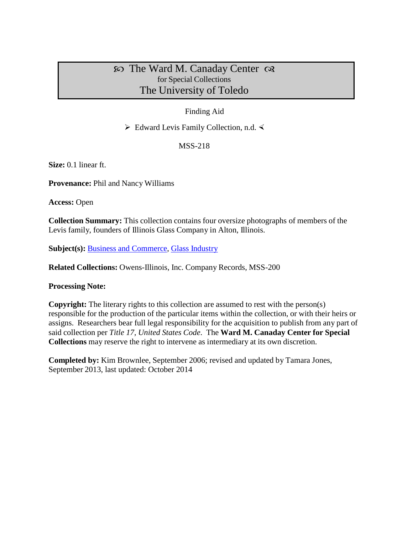# $\infty$  The Ward M. Canaday Center  $\infty$ for Special Collections The University of Toledo

## Finding Aid

 $\triangleright$  Edward Levis Family Collection, n.d.  $\triangleleft$ 

MSS-218

**Size:** 0.1 linear ft.

**Provenance:** Phil and Nancy Williams

**Access:** Open

**Collection Summary:** This collection contains four oversize photographs of members of the Levis family, founders of Illinois Glass Company in Alton, Illinois.

**Subject(s):** Business and [Commerce,](http://www.utoledo.edu/library/canaday/guidepages/business.html) Glass [Industry](http://www.utoledo.edu/library/canaday/guidepages/business.html)

**Related Collections:** Owens-Illinois, Inc. Company Records, MSS-200

#### **Processing Note:**

**Copyright:** The literary rights to this collection are assumed to rest with the person(s) responsible for the production of the particular items within the collection, or with their heirs or assigns. Researchers bear full legal responsibility for the acquisition to publish from any part of said collection per *Title 17, United States Code*. The **Ward M. Canaday Center for Special Collections** may reserve the right to intervene as intermediary at its own discretion.

**Completed by:** Kim Brownlee, September 2006; revised and updated by Tamara Jones, September 2013, last updated: October 2014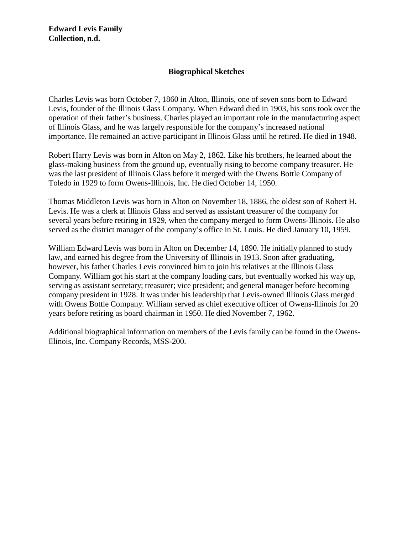### **Biographical Sketches**

Charles Levis was born October 7, 1860 in Alton, Illinois, one of seven sons born to Edward Levis, founder of the Illinois Glass Company. When Edward died in 1903, his sons took over the operation of their father's business. Charles played an important role in the manufacturing aspect of Illinois Glass, and he was largely responsible for the company's increased national importance. He remained an active participant in Illinois Glass until he retired. He died in 1948.

Robert Harry Levis was born in Alton on May 2, 1862. Like his brothers, he learned about the glass-making business from the ground up, eventually rising to become company treasurer. He was the last president of Illinois Glass before it merged with the Owens Bottle Company of Toledo in 1929 to form Owens-Illinois, Inc. He died October 14, 1950.

Thomas Middleton Levis was born in Alton on November 18, 1886, the oldest son of Robert H. Levis. He was a clerk at Illinois Glass and served as assistant treasurer of the company for several years before retiring in 1929, when the company merged to form Owens-Illinois. He also served as the district manager of the company's office in St. Louis. He died January 10, 1959.

William Edward Levis was born in Alton on December 14, 1890. He initially planned to study law, and earned his degree from the University of Illinois in 1913. Soon after graduating, however, his father Charles Levis convinced him to join his relatives at the Illinois Glass Company. William got his start at the company loading cars, but eventually worked his way up, serving as assistant secretary; treasurer; vice president; and general manager before becoming company president in 1928. It was under his leadership that Levis-owned Illinois Glass merged with Owens Bottle Company. William served as chief executive officer of Owens-Illinois for 20 years before retiring as board chairman in 1950. He died November 7, 1962.

Additional biographical information on members of the Levis family can be found in the Owens-Illinois, Inc. Company Records, MSS-200.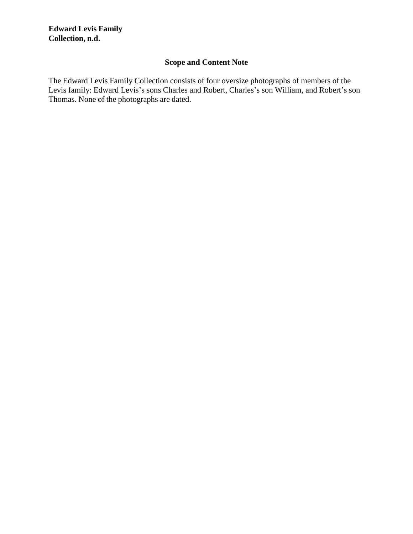### **Edward Levis Family Collection, n.d.**

## **Scope and Content Note**

The Edward Levis Family Collection consists of four oversize photographs of members of the Levis family: Edward Levis's sons Charles and Robert, Charles's son William, and Robert's son Thomas. None of the photographs are dated.